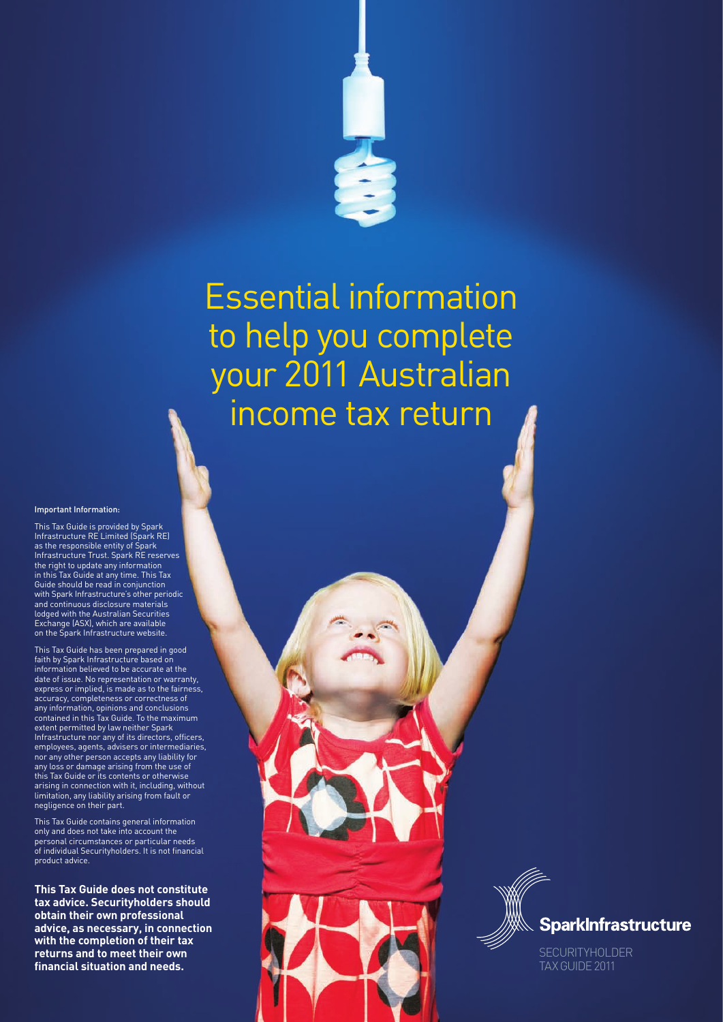

# Essential information to help you complete your 2011 Australian income tax return

#### Important Information:

This Tax Guide is provided by Spark Infrastructure RE Limited (Spark RE) as the responsible entity of Spark Infrastructure Trust. Spark RE reserves the right to update any information in this Tax Guide at any time. This Tax Guide should be read in conjunction with Spark Infrastructure's other periodic and continuous disclosure materials lodged with the Australian Securities Exchange (ASX), which are available on the Spark Infrastructure website.

This Tax Guide has been prepared in good faith by Spark Infrastructure based on information believed to be accurate at the date of issue. No representation or warranty, express or implied, is made as to the fairness, accuracy, completeness or correctness of any information, opinions and conclusions contained in this Tax Guide. To the maximum extent permitted by law neither Spark Infrastructure nor any of its directors, officers, employees, agents, advisers or intermediaries, nor any other person accepts any liability for any loss or damage arising from the use of this Tax Guide or its contents or otherwise arising in connection with it, including, without limitation, any liability arising from fault or negligence on their part.

This Tax Guide contains general information only and does not take into account the personal circumstances or particular needs of individual Securityholders. It is not financial product advice.

**This Tax Guide does not constitute tax advice. Securityholders should obtain their own professional advice, as necessary, in connection with the completion of their tax returns and to meet their own fi nancial situation and needs.**



**SECURITYHOLDER** TAX GUIDE 2011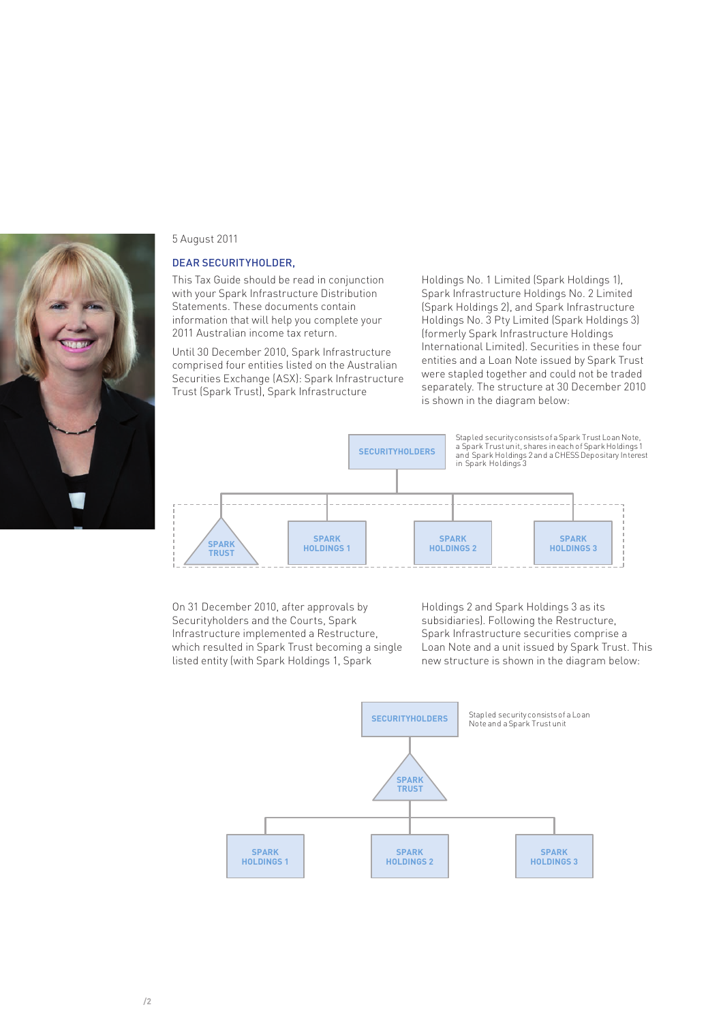

#### 5 August 2011

#### DEAR SECURITYHOLDER,

This Tax Guide should be read in conjunction with your Spark Infrastructure Distribution Statements. These documents contain information that will help you complete your 2011 Australian income tax return.

Until 30 December 2010, Spark Infrastructure comprised four entities listed on the Australian Securities Exchange (ASX): Spark Infrastructure Trust (Spark Trust), Spark Infrastructure

Holdings No. 1 Limited (Spark Holdings 1), Spark Infrastructure Holdings No. 2 Limited (Spark Holdings 2), and Spark Infrastructure Holdings No. 3 Pty Limited (Spark Holdings 3) (formerly Spark Infrastructure Holdings International Limited). Securities in these four entities and a Loan Note issued by Spark Trust were stapled together and could not be traded separately. The structure at 30 December 2010 is shown in the diagram below:



On 31 December 2010, after approvals by Securityholders and the Courts, Spark Infrastructure implemented a Restructure, which resulted in Spark Trust becoming a single listed entity (with Spark Holdings 1, Spark

Holdings 2 and Spark Holdings 3 as its subsidiaries). Following the Restructure, Spark Infrastructure securities comprise a Loan Note and a unit issued by Spark Trust. This new structure is shown in the diagram below:

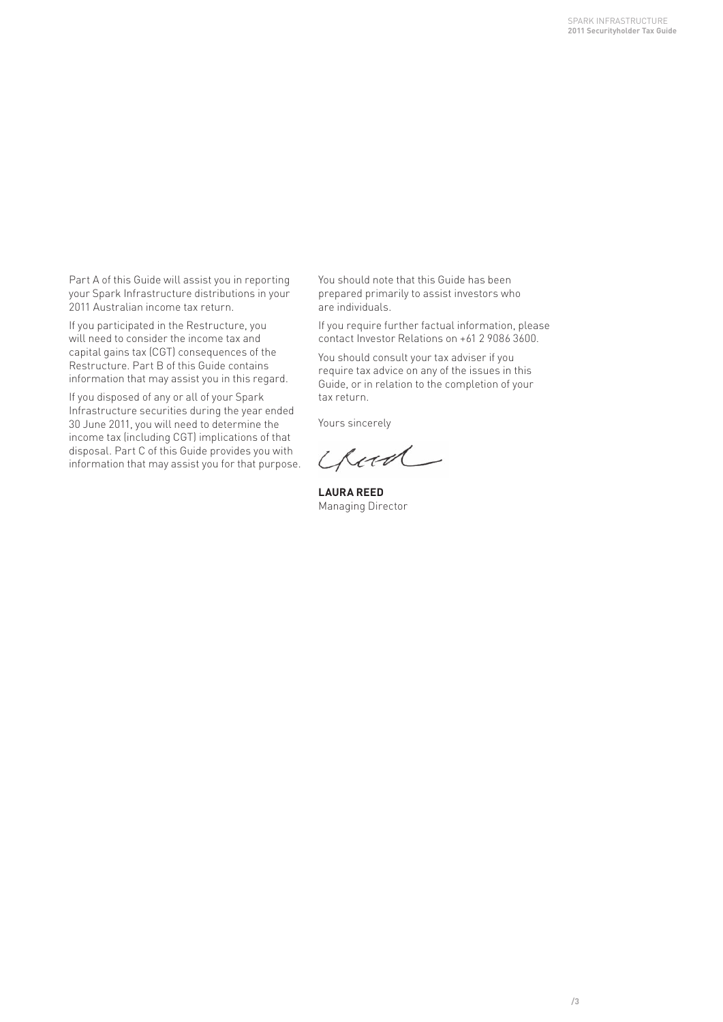Part A of this Guide will assist you in reporting your Spark Infrastructure distributions in your 2011 Australian income tax return.

If you participated in the Restructure, you will need to consider the income tax and capital gains tax (CGT) consequences of the Restructure. Part B of this Guide contains information that may assist you in this regard.

If you disposed of any or all of your Spark Infrastructure securities during the year ended 30 June 2011, you will need to determine the income tax (including CGT) implications of that disposal. Part C of this Guide provides you with information that may assist you for that purpose. You should note that this Guide has been prepared primarily to assist investors who are individuals.

If you require further factual information, please contact Investor Relations on +61 2 9086 3600.

You should consult your tax adviser if you require tax advice on any of the issues in this Guide, or in relation to the completion of your tax return.

Yours sincerely

Chood

**LAURA REED** Managing Director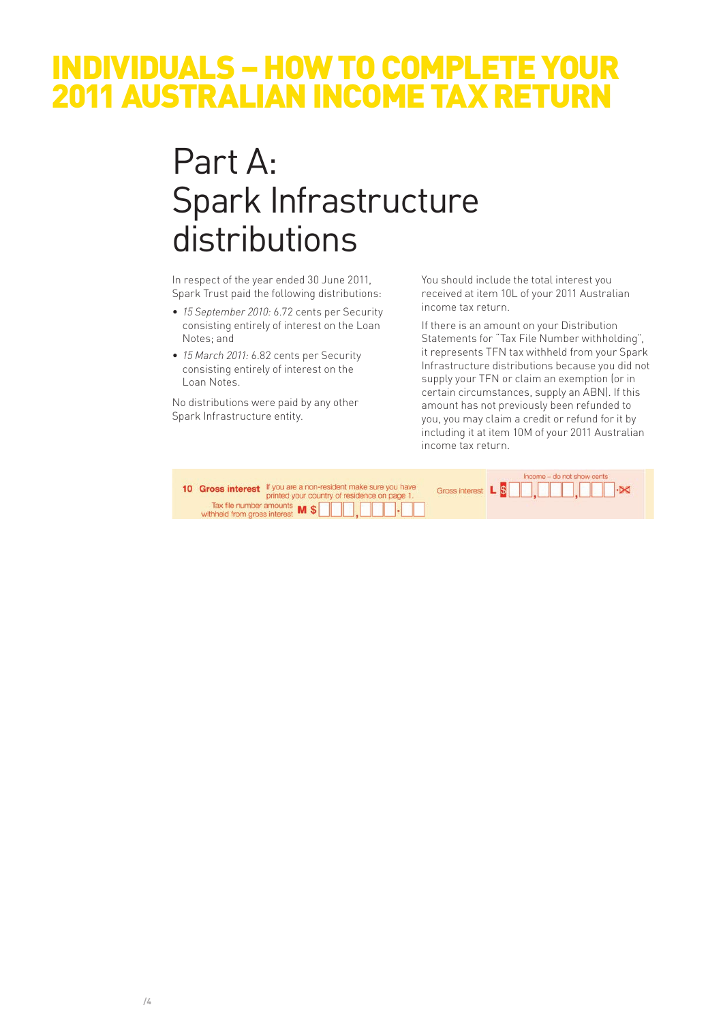### INDIVIDUALS – HOW TO COMPLETE YOUR 2011 AUSTRALIAN INCOME TAX RETURN

# Part A: Spark Infrastructure distributions

In respect of the year ended 30 June 2011, Spark Trust paid the following distributions:

- *15 September 2010:* 6.72 cents per Security consisting entirely of interest on the Loan Notes; and
- *15 March 2011:* 6.82 cents per Security consisting entirely of interest on the Loan Notes.

No distributions were paid by any other Spark Infrastructure entity.

You should include the total interest you received at item 10L of your 2011 Australian income tax return.

If there is an amount on your Distribution Statements for "Tax File Number withholding", it represents TFN tax withheld from your Spark Infrastructure distributions because you did not supply your TFN or claim an exemption (or in certain circumstances, supply an ABN). If this amount has not previously been refunded to you, you may claim a credit or refund for it by including it at item 10M of your 2011 Australian income tax return.

| 10 Gross interest If you are a non-resident make sure you have<br>printed your country of residence on page 1. |                                                                                      | Income - do not show cents<br>Gross interest L S <b>EE</b> , <b>EEE</b> , <b>EEE</b> , E |  |  |
|----------------------------------------------------------------------------------------------------------------|--------------------------------------------------------------------------------------|------------------------------------------------------------------------------------------|--|--|
|                                                                                                                | Tax file number amounts $\mathsf{M}$ $\mathsf{S}$ $\Box$ $\Box$ $\Box$ $\Box$ $\Box$ |                                                                                          |  |  |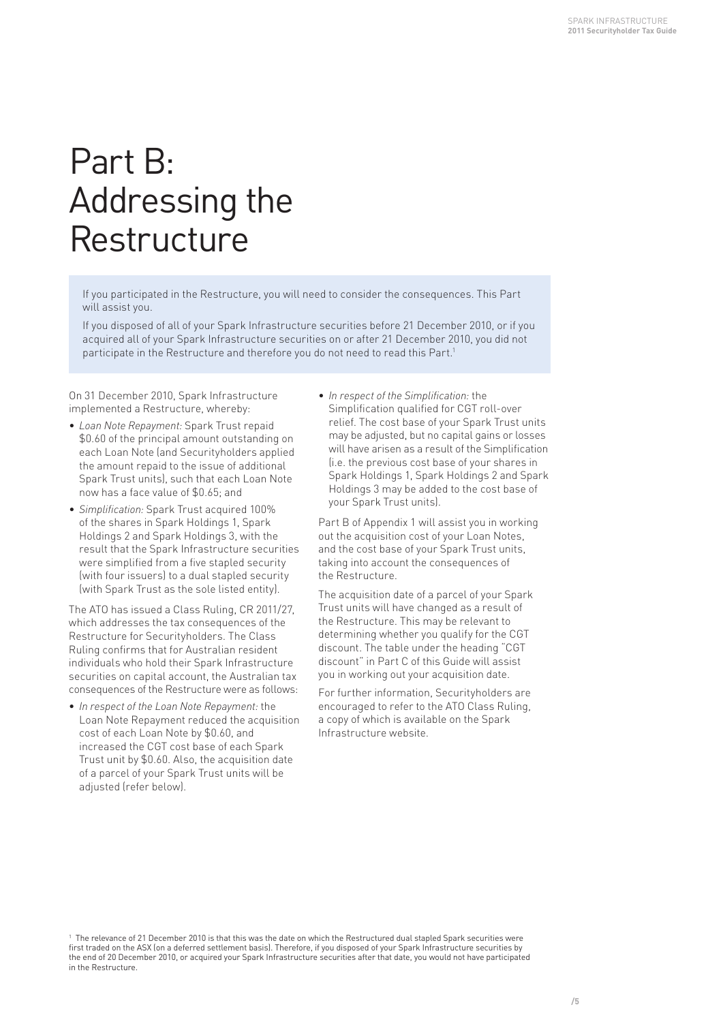# Part B: Addressing the **Restructure**

If you participated in the Restructure, you will need to consider the consequences. This Part will assist you.

If you disposed of all of your Spark Infrastructure securities before 21 December 2010, or if you acquired all of your Spark Infrastructure securities on or after 21 December 2010, you did not participate in the Restructure and therefore you do not need to read this Part.<sup>1</sup>

On 31 December 2010, Spark Infrastructure implemented a Restructure, whereby:

- *Loan Note Repayment:* Spark Trust repaid \$0.60 of the principal amount outstanding on each Loan Note (and Securityholders applied the amount repaid to the issue of additional Spark Trust units), such that each Loan Note now has a face value of \$0.65; and
- *Simplification:* Spark Trust acquired 100% of the shares in Spark Holdings 1, Spark Holdings 2 and Spark Holdings 3, with the result that the Spark Infrastructure securities were simplified from a five stapled security (with four issuers) to a dual stapled security (with Spark Trust as the sole listed entity).

The ATO has issued a Class Ruling, CR 2011/27, which addresses the tax consequences of the Restructure for Securityholders. The Class Ruling confirms that for Australian resident individuals who hold their Spark Infrastructure securities on capital account, the Australian tax consequences of the Restructure were as follows:

• *In respect of the Loan Note Repayment:* the Loan Note Repayment reduced the acquisition cost of each Loan Note by \$0.60, and increased the CGT cost base of each Spark Trust unit by \$0.60. Also, the acquisition date of a parcel of your Spark Trust units will be adjusted (refer below).

• *In respect of the Simplification:* the Simplification qualified for CGT roll-over relief. The cost base of your Spark Trust units may be adjusted, but no capital gains or losses will have arisen as a result of the Simplification (i.e. the previous cost base of your shares in Spark Holdings 1, Spark Holdings 2 and Spark Holdings 3 may be added to the cost base of your Spark Trust units).

Part B of Appendix 1 will assist you in working out the acquisition cost of your Loan Notes, and the cost base of your Spark Trust units, taking into account the consequences of the Restructure.

The acquisition date of a parcel of your Spark Trust units will have changed as a result of the Restructure. This may be relevant to determining whether you qualify for the CGT discount. The table under the heading "CGT discount" in Part C of this Guide will assist you in working out your acquisition date.

For further information, Securityholders are encouraged to refer to the ATO Class Ruling, a copy of which is available on the Spark Infrastructure website.

<sup>1</sup> The relevance of 21 December 2010 is that this was the date on which the Restructured dual stapled Spark securities were first traded on the ASX (on a deferred settlement basis). Therefore, if you disposed of your Spark Infrastructure securities by the end of 20 December 2010, or acquired your Spark Infrastructure securities after that date, you would not have participated in the Restructure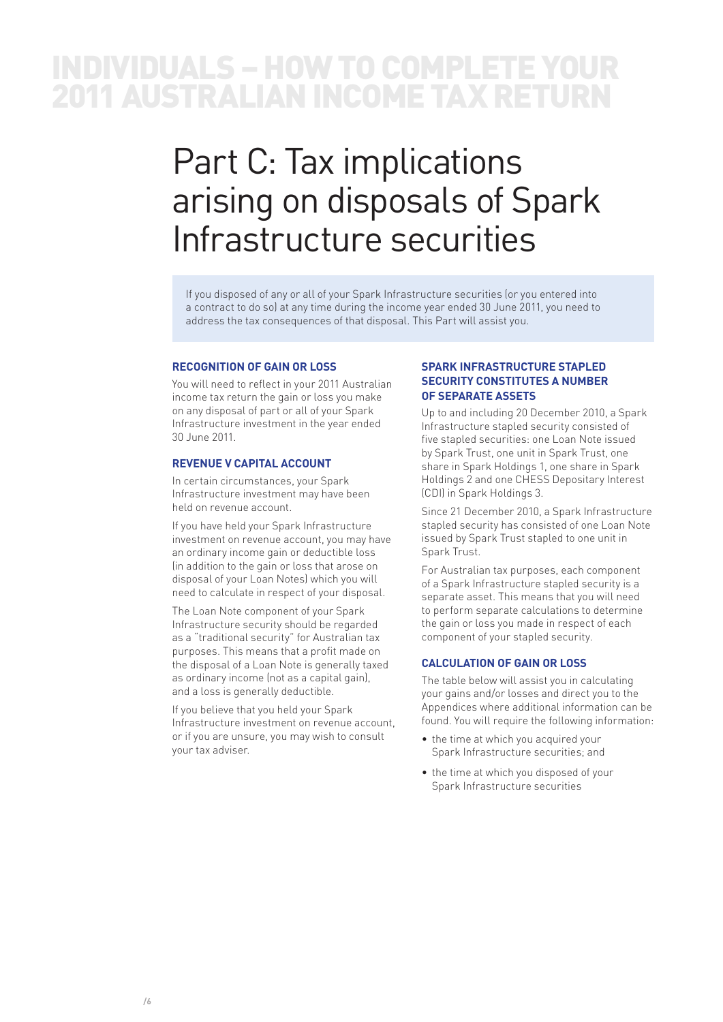### INDIVIDUALS – HOW TO COMPLETE YOUR 2011 AUSTRALIAN INCOME TAX RETURN

# Part C: Tax implications arising on disposals of Spark Infrastructure securities

If you disposed of any or all of your Spark Infrastructure securities (or you entered into a contract to do so) at any time during the income year ended 30 June 2011, you need to address the tax consequences of that disposal. This Part will assist you.

#### **RECOGNITION OF GAIN OR LOSS**

You will need to reflect in your 2011 Australian income tax return the gain or loss you make on any disposal of part or all of your Spark Infrastructure investment in the year ended 30 June 2011.

#### **REVENUE V CAPITAL ACCOUNT**

In certain circumstances, your Spark Infrastructure investment may have been held on revenue account.

If you have held your Spark Infrastructure investment on revenue account, you may have an ordinary income gain or deductible loss (in addition to the gain or loss that arose on disposal of your Loan Notes) which you will need to calculate in respect of your disposal.

The Loan Note component of your Spark Infrastructure security should be regarded as a "traditional security" for Australian tax purposes. This means that a profit made on the disposal of a Loan Note is generally taxed as ordinary income (not as a capital gain), and a loss is generally deductible.

If you believe that you held your Spark Infrastructure investment on revenue account, or if you are unsure, you may wish to consult your tax adviser.

#### **SPARK INFRASTRUCTURE STAPLED SECURITY CONSTITUTES A NUMBER OF SEPARATE ASSETS**

Up to and including 20 December 2010, a Spark Infrastructure stapled security consisted of five stapled securities: one Loan Note issued by Spark Trust, one unit in Spark Trust, one share in Spark Holdings 1, one share in Spark Holdings 2 and one CHESS Depositary Interest (CDI) in Spark Holdings 3.

Since 21 December 2010, a Spark Infrastructure stapled security has consisted of one Loan Note issued by Spark Trust stapled to one unit in Spark Trust.

For Australian tax purposes, each component of a Spark Infrastructure stapled security is a separate asset. This means that you will need to perform separate calculations to determine the gain or loss you made in respect of each component of your stapled security.

#### **CALCULATION OF GAIN OR LOSS**

The table below will assist you in calculating your gains and/or losses and direct you to the Appendices where additional information can be found. You will require the following information:

- the time at which you acquired your Spark Infrastructure securities; and
- the time at which you disposed of your Spark Infrastructure securities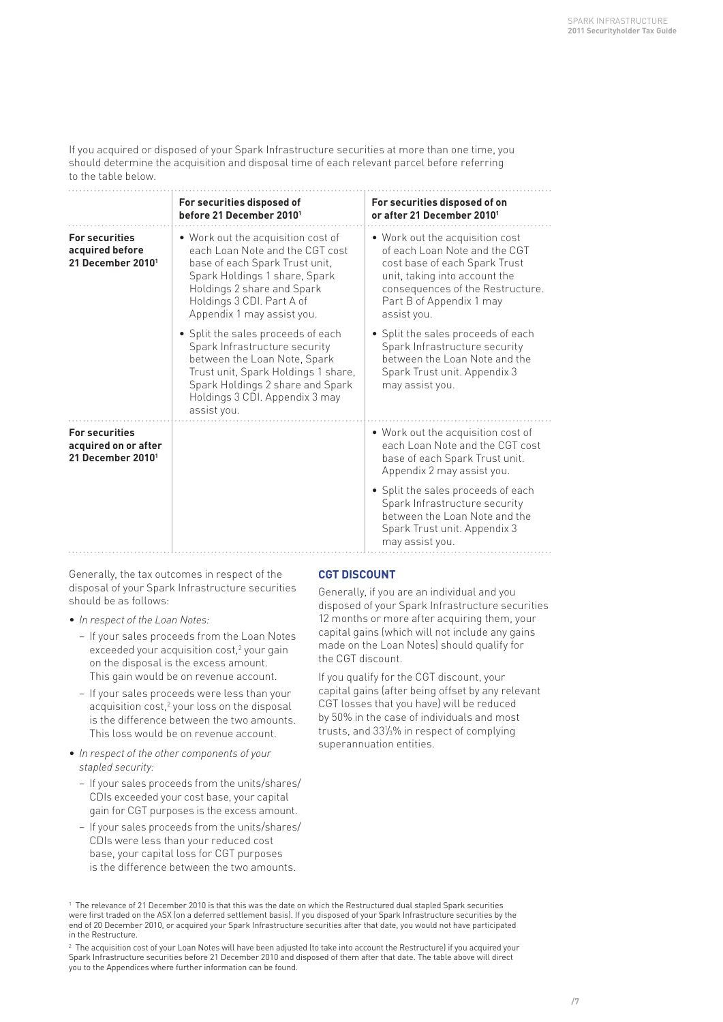If you acquired or disposed of your Spark Infrastructure securities at more than one time, you should determine the acquisition and disposal time of each relevant parcel before referring to the table below.

|                                                                                | For securities disposed of<br>before 21 December 2010 <sup>1</sup>                                                                                                                                                                | For securities disposed of on<br>or after 21 December 2010 <sup>1</sup>                                                                                                                                           |
|--------------------------------------------------------------------------------|-----------------------------------------------------------------------------------------------------------------------------------------------------------------------------------------------------------------------------------|-------------------------------------------------------------------------------------------------------------------------------------------------------------------------------------------------------------------|
| <b>For securities</b><br>acquired before<br>21 December 2010 <sup>1</sup>      | . Work out the acquisition cost of<br>each Loan Note and the CGT cost<br>base of each Spark Trust unit,<br>Spark Holdings 1 share, Spark<br>Holdings 2 share and Spark<br>Holdings 3 CDI. Part A of<br>Appendix 1 may assist you. | • Work out the acquisition cost<br>of each Loan Note and the CGT<br>cost base of each Spark Trust<br>unit, taking into account the<br>consequences of the Restructure.<br>Part B of Appendix 1 may<br>assist you. |
|                                                                                | • Split the sales proceeds of each<br>Spark Infrastructure security<br>between the Loan Note, Spark<br>Trust unit, Spark Holdings 1 share,<br>Spark Holdings 2 share and Spark<br>Holdings 3 CDI. Appendix 3 may<br>assist you.   | • Split the sales proceeds of each<br>Spark Infrastructure security<br>between the Loan Note and the<br>Spark Trust unit. Appendix 3<br>may assist you.                                                           |
| <b>For securities</b><br>acquired on or after<br>21 December 2010 <sup>1</sup> |                                                                                                                                                                                                                                   | . Work out the acquisition cost of<br>each Loan Note and the CGT cost<br>base of each Spark Trust unit.<br>Appendix 2 may assist you.                                                                             |
|                                                                                |                                                                                                                                                                                                                                   | • Split the sales proceeds of each<br>Spark Infrastructure security<br>between the Loan Note and the<br>Spark Trust unit. Appendix 3<br>may assist you.                                                           |

Generally, the tax outcomes in respect of the disposal of your Spark Infrastructure securities should be as follows:

- *In respect of the Loan Notes:*
	- If your sales proceeds from the Loan Notes exceeded your acquisition cost,<sup>2</sup> your gain on the disposal is the excess amount. This gain would be on revenue account.
	- If your sales proceeds were less than your acquisition cost,<sup>2</sup> your loss on the disposal is the difference between the two amounts. This loss would be on revenue account.
- *In respect of the other components of your stapled security:*
	- If your sales proceeds from the units/shares/ CDIs exceeded your cost base, your capital gain for CGT purposes is the excess amount.
	- If your sales proceeds from the units/shares/ CDIs were less than your reduced cost base, your capital loss for CGT purposes is the difference between the two amounts.

#### **CGT DISCOUNT**

Generally, if you are an individual and you disposed of your Spark Infrastructure securities 12 months or more after acquiring them, your capital gains (which will not include any gains made on the Loan Notes) should qualify for the CGT discount.

If you qualify for the CGT discount, your capital gains (after being offset by any relevant CGT losses that you have) will be reduced by 50% in the case of individuals and most trusts, and  $33\frac{1}{3}\%$  in respect of complying superannuation entities.

<sup>1</sup> The relevance of 21 December 2010 is that this was the date on which the Restructured dual stapled Spark securities were first traded on the ASX (on a deferred settlement basis). If you disposed of your Spark Infrastructure securities by the end of 20 December 2010, or acquired your Spark Infrastructure securities after that date, you would not have participated in the Restructure.

 $^{\rm 2}$  The acquisition cost of your Loan Notes will have been adjusted (to take into account the Restructure) if you acquired your Spark Infrastructure securities before 21 December 2010 and disposed of them after that date. The table above will direct you to the Appendices where further information can be found.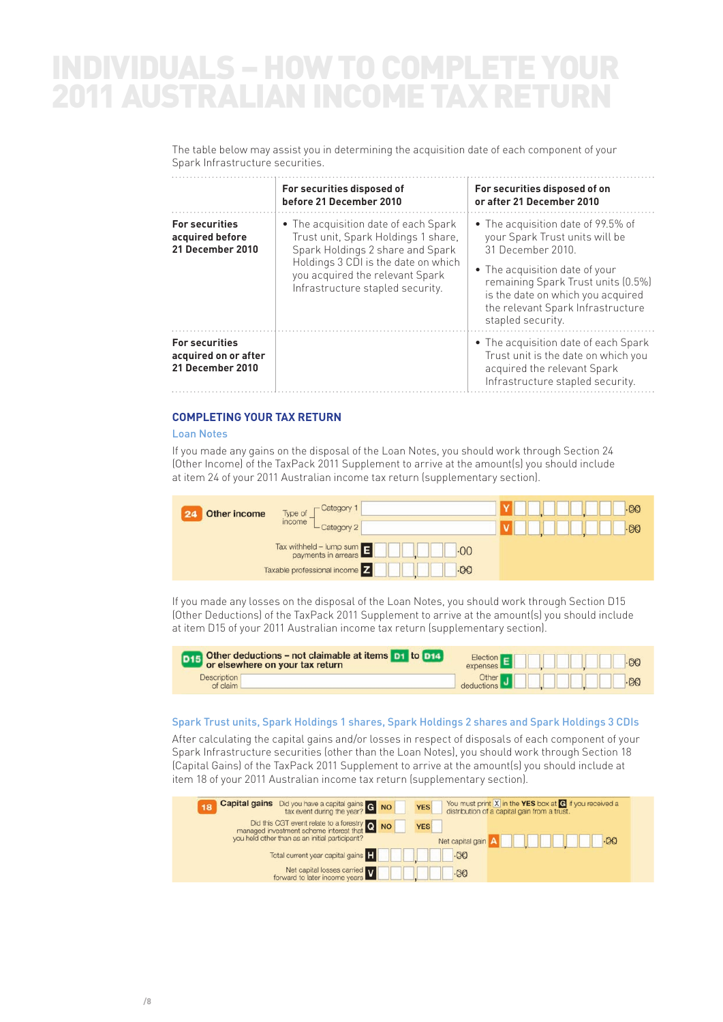## INDIVIDUALS – HOW TO COMPLETE 2011 AUSTRALIAN INCOME TAX RETURN

The table below may assist you in determining the acquisition date of each component of your Spark Infrastructure securities.

|                                                                                                                                                                                                                                                                                               | For securities disposed of<br>before 21 December 2010 | For securities disposed of on<br>or after 21 December 2010                                                                                                                                                                                                      |  |  |
|-----------------------------------------------------------------------------------------------------------------------------------------------------------------------------------------------------------------------------------------------------------------------------------------------|-------------------------------------------------------|-----------------------------------------------------------------------------------------------------------------------------------------------------------------------------------------------------------------------------------------------------------------|--|--|
| <b>For securities</b><br>• The acquisition date of each Spark<br>Trust unit, Spark Holdings 1 share,<br>acquired before<br>Spark Holdings 2 share and Spark<br>21 December 2010<br>Holdings 3 CDI is the date on which<br>you acquired the relevant Spark<br>Infrastructure stapled security. |                                                       | • The acquisition date of 99.5% of<br>your Spark Trust units will be<br>31 December 2010<br>• The acquisition date of your<br>remaining Spark Trust units (0.5%)<br>is the date on which you acquired<br>the relevant Spark Infrastructure<br>stapled security. |  |  |
| <b>For securities</b><br>acquired on or after<br>21 December 2010                                                                                                                                                                                                                             |                                                       | • The acquisition date of each Spark<br>Trust unit is the date on which you<br>acquired the relevant Spark<br>Infrastructure stapled security.                                                                                                                  |  |  |

#### **COMPLETING YOUR TAX RETURN**

#### Loan Notes

If you made any gains on the disposal of the Loan Notes, you should work through Section 24 (Other Income) of the TaxPack 2011 Supplement to arrive at the amount(s) you should include at item 24 of your 2011 Australian income tax return (supplementary section).

| Other income | -Category 1<br>Type of<br>income                                                                                                                                                                                                                                                                                           | $-00$ |
|--------------|----------------------------------------------------------------------------------------------------------------------------------------------------------------------------------------------------------------------------------------------------------------------------------------------------------------------------|-------|
|              | L Category 2                                                                                                                                                                                                                                                                                                               | $-00$ |
|              | $\frac{1}{2}$ $\frac{1}{2}$ $\frac{1}{2}$ $\frac{1}{2}$ $\frac{1}{2}$ $\frac{1}{2}$ $\frac{1}{2}$ $\frac{1}{2}$ $\frac{1}{2}$ $\frac{1}{2}$ $\frac{1}{2}$ $\frac{1}{2}$ $\frac{1}{2}$ $\frac{1}{2}$ $\frac{1}{2}$ $\frac{1}{2}$ $\frac{1}{2}$ $\frac{1}{2}$ $\frac{1}{2}$ $\frac{1}{2}$ $\frac{1}{2}$ $\frac{1}{2}$<br>.00 |       |
|              | Taxable professional income Z<br>$-00$                                                                                                                                                                                                                                                                                     |       |

If you made any losses on the disposal of the Loan Notes, you should work through Section D15 (Other Deductions) of the TaxPack 2011 Supplement to arrive at the amount(s) you should include at item D15 of your 2011 Australian income tax return (supplementary section).

| <b>D15</b> Other deductions – not claimable at items <b>D1</b> to <b>D14</b> | Election E <b>E ALL BULLE</b> 00                                                                                                    |
|------------------------------------------------------------------------------|-------------------------------------------------------------------------------------------------------------------------------------|
| <b>Description</b><br>of claim L                                             | Other J<br>deductions J<br>$\blacksquare$<br>$\blacksquare$<br>$\blacksquare$<br>$\blacksquare$<br>$\blacksquare$<br>$\blacksquare$ |

#### Spark Trust units, Spark Holdings 1 shares, Spark Holdings 2 shares and Spark Holdings 3 CDIs

After calculating the capital gains and/or losses in respect of disposals of each component of your Spark Infrastructure securities (other than the Loan Notes), you should work through Section 18 (Capital Gains) of the TaxPack 2011 Supplement to arrive at the amount(s) you should include at item 18 of your 2011 Australian income tax return (supplementary section).

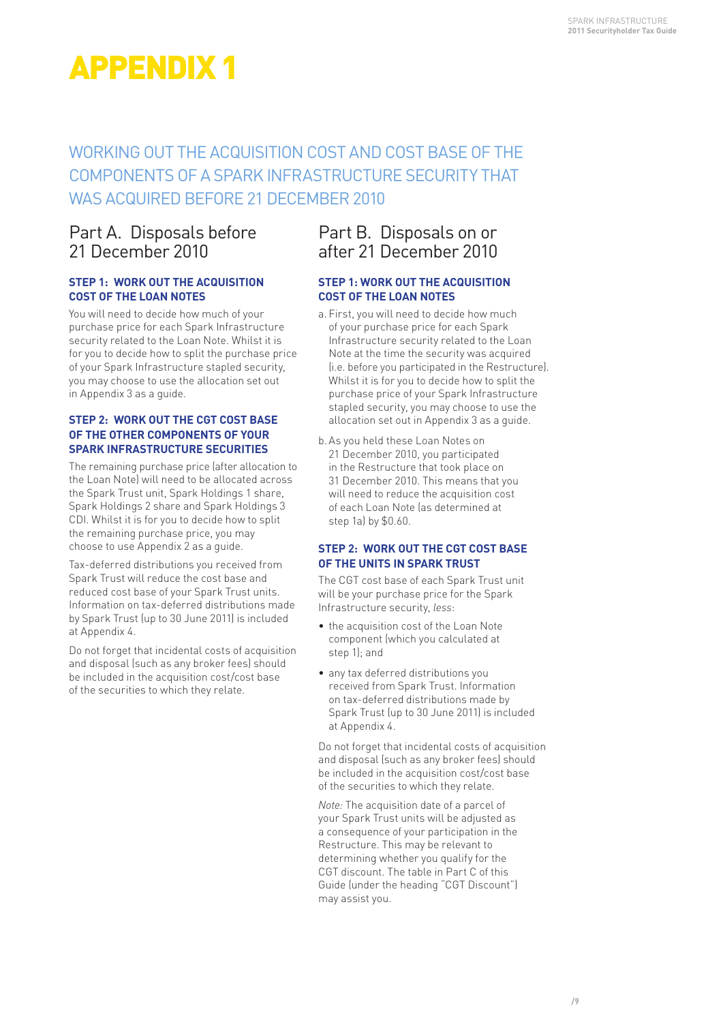### WORKING OUT THE ACQUISITION COST AND COST BASE OF THE COMPONENTS OF A SPARK INFRASTRUCTURE SECURITY THAT WAS ACQUIRED BEFORE 21 DECEMBER 2010

### Part A. Disposals before 21 December 2010

#### **STEP 1: WORK OUT THE ACQUISITION COST OF THE LOAN NOTES**

You will need to decide how much of your purchase price for each Spark Infrastructure security related to the Loan Note. Whilst it is for you to decide how to split the purchase price of your Spark Infrastructure stapled security, you may choose to use the allocation set out in Appendix 3 as a guide.

#### **STEP 2: WORK OUT THE CGT COST BASE OF THE OTHER COMPONENTS OF YOUR SPARK INFRASTRUCTURE SECURITIES**

The remaining purchase price (after allocation to the Loan Note) will need to be allocated across the Spark Trust unit, Spark Holdings 1 share, Spark Holdings 2 share and Spark Holdings 3 CDI. Whilst it is for you to decide how to split the remaining purchase price, you may choose to use Appendix 2 as a guide.

Tax-deferred distributions you received from Spark Trust will reduce the cost base and reduced cost base of your Spark Trust units. Information on tax-deferred distributions made by Spark Trust (up to 30 June 2011) is included at Appendix 4.

Do not forget that incidental costs of acquisition and disposal (such as any broker fees) should be included in the acquisition cost/cost base of the securities to which they relate.

### Part B. Disposals on or after 21 December 2010

#### **STEP 1: WORK OUT THE ACQUISITION COST OF THE LOAN NOTES**

- a. First, you will need to decide how much of your purchase price for each Spark Infrastructure security related to the Loan Note at the time the security was acquired (i.e. before you participated in the Restructure). Whilst it is for you to decide how to split the purchase price of your Spark Infrastructure stapled security, you may choose to use the allocation set out in Appendix 3 as a guide.
- b. As you held these Loan Notes on 21 December 2010, you participated in the Restructure that took place on 31 December 2010. This means that you will need to reduce the acquisition cost of each Loan Note (as determined at step 1a) by \$0.60.

#### **STEP 2: WORK OUT THE CGT COST BASE OF THE UNITS IN SPARK TRUST**

The CGT cost base of each Spark Trust unit will be your purchase price for the Spark Infrastructure security, *less*:

- the acquisition cost of the Loan Note component (which you calculated at step 1); and
- any tax deferred distributions you received from Spark Trust. Information on tax-deferred distributions made by Spark Trust (up to 30 June 2011) is included at Appendix 4.

Do not forget that incidental costs of acquisition and disposal (such as any broker fees) should be included in the acquisition cost/cost base of the securities to which they relate.

*Note:* The acquisition date of a parcel of your Spark Trust units will be adjusted as a consequence of your participation in the Restructure. This may be relevant to determining whether you qualify for the CGT discount. The table in Part C of this Guide (under the heading "CGT Discount") may assist you.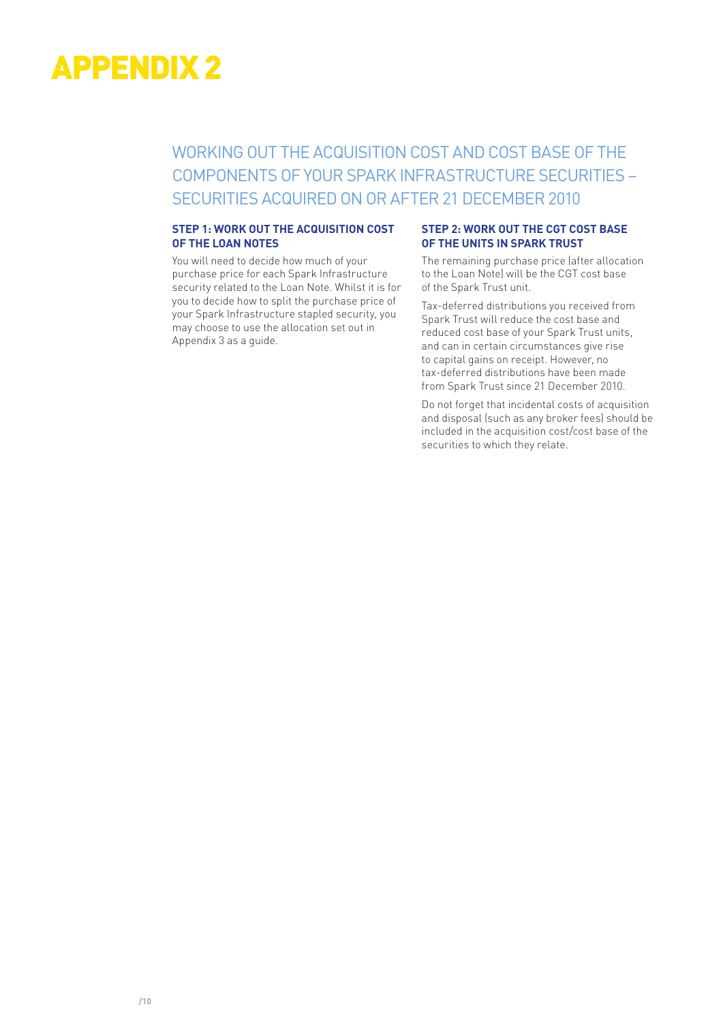### WORKING OUT THE ACQUISITION COST AND COST BASE OF THE COMPONENTS OF YOUR SPARK INFRASTRUCTURE SECURITIES – SECURITIES ACQUIRED ON OR AFTER 21 DECEMBER 2010

#### **STEP 1: WORK OUT THE ACQUISITION COST OF THE LOAN NOTES**

You will need to decide how much of your purchase price for each Spark Infrastructure security related to the Loan Note. Whilst it is for you to decide how to split the purchase price of your Spark Infrastructure stapled security, you may choose to use the allocation set out in Appendix 3 as a guide.

#### **STEP 2: WORK OUT THE CGT COST BASE OF THE UNITS IN SPARK TRUST**

The remaining purchase price (after allocation to the Loan Note) will be the CGT cost base of the Spark Trust unit.

Tax-deferred distributions you received from Spark Trust will reduce the cost base and reduced cost base of your Spark Trust units, and can in certain circumstances give rise to capital gains on receipt. However, no tax-deferred distributions have been made from Spark Trust since 21 December 2010.

Do not forget that incidental costs of acquisition and disposal (such as any broker fees) should be included in the acquisition cost/cost base of the securities to which they relate.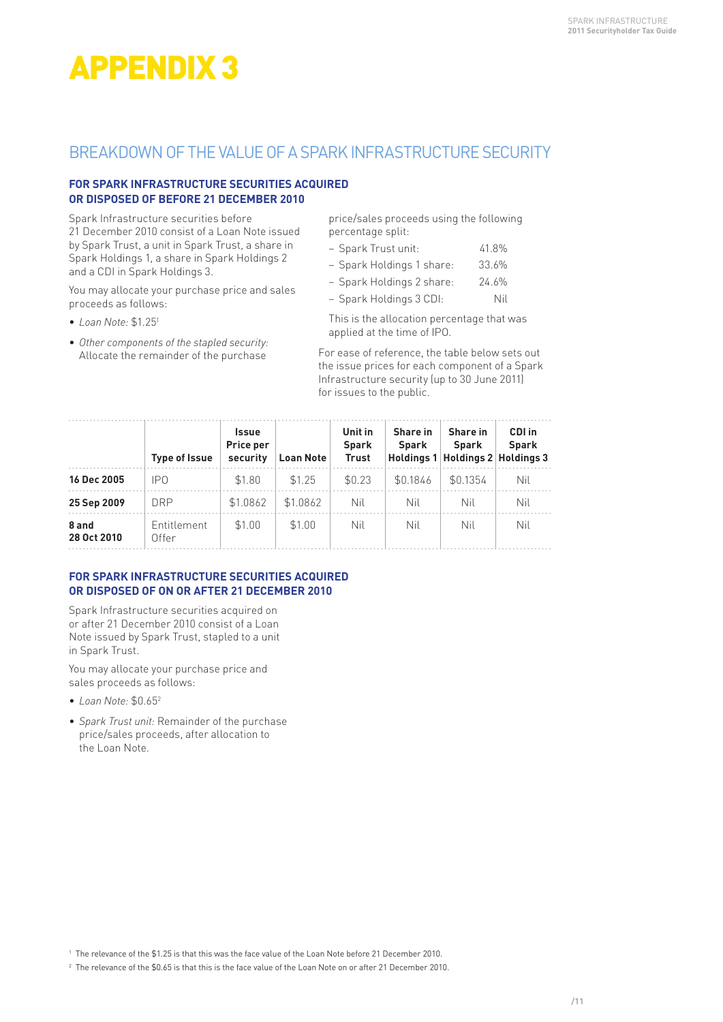### BREAKDOWN OF THE VALUE OF A SPARK INFRASTRUCTURE SECURITY

#### **FOR SPARK INFRASTRUCTURE SECURITIES ACQUIRED OR DISPOSED OF BEFORE 21 DECEMBER 2010**

Spark Infrastructure securities before 21 December 2010 consist of a Loan Note issued by Spark Trust, a unit in Spark Trust, a share in Spark Holdings 1, a share in Spark Holdings 2 and a CDI in Spark Holdings 3.

You may allocate your purchase price and sales proceeds as follows:

- *Loan Note:* \$1.251
- *Other components of the stapled security:* Allocate the remainder of the purchase

price/sales proceeds using the following percentage split:

| 41.8%<br>– Spark Trust unit: |  |
|------------------------------|--|
|------------------------------|--|

| - Spark Holdings 1 share: | 33.6% |
|---------------------------|-------|
|---------------------------|-------|

– Spark Holdings 2 share: 24.6%

– Spark Holdings 3 CDI: Nil

 This is the allocation percentage that was applied at the time of IPO.

For ease of reference, the table below sets out the issue prices for each component of a Spark Infrastructure security (up to 30 June 2011) for issues to the public.

|                      | <b>Type of Issue</b> | <b>Issue</b><br>Price per<br>security | <b>Loan Note</b> | Unit in<br><b>Spark</b><br><b>Trust</b> | Share in<br>Spark | Share in<br>Spark<br>Holdings 1 Holdings 2 Holdings 3 | CDI in<br><b>Spark</b> |
|----------------------|----------------------|---------------------------------------|------------------|-----------------------------------------|-------------------|-------------------------------------------------------|------------------------|
| 16 Dec 2005          | IP <sub>0</sub>      | \$1.80                                | \$1.25           | \$0.23                                  | \$0.1846          | \$0.1354                                              | Nil                    |
| 25 Sep 2009          | DRP.                 | \$1.0862                              | \$1.0862         | Nil                                     | Nil               | Nil                                                   | Nil                    |
| 8 and<br>28 Oct 2010 | Entitlement<br>Offer | \$1.00                                | \$1.00           | Nil                                     | Nil               | Nil                                                   | Nil                    |

#### **FOR SPARK INFRASTRUCTURE SECURITIES ACQUIRED OR DISPOSED OF ON OR AFTER 21 DECEMBER 2010**

Spark Infrastructure securities acquired on or after 21 December 2010 consist of a Loan Note issued by Spark Trust, stapled to a unit in Spark Trust.

You may allocate your purchase price and sales proceeds as follows:

- *Loan Note:* \$0.652
- *Spark Trust unit:* Remainder of the purchase price/sales proceeds, after allocation to the Loan Note.

 $^{\rm 1}$  The relevance of the \$1.25 is that this was the face value of the Loan Note before 21 December 2010.

 $^{\rm 2}$  The relevance of the \$0.65 is that this is the face value of the Loan Note on or after 21 December 2010.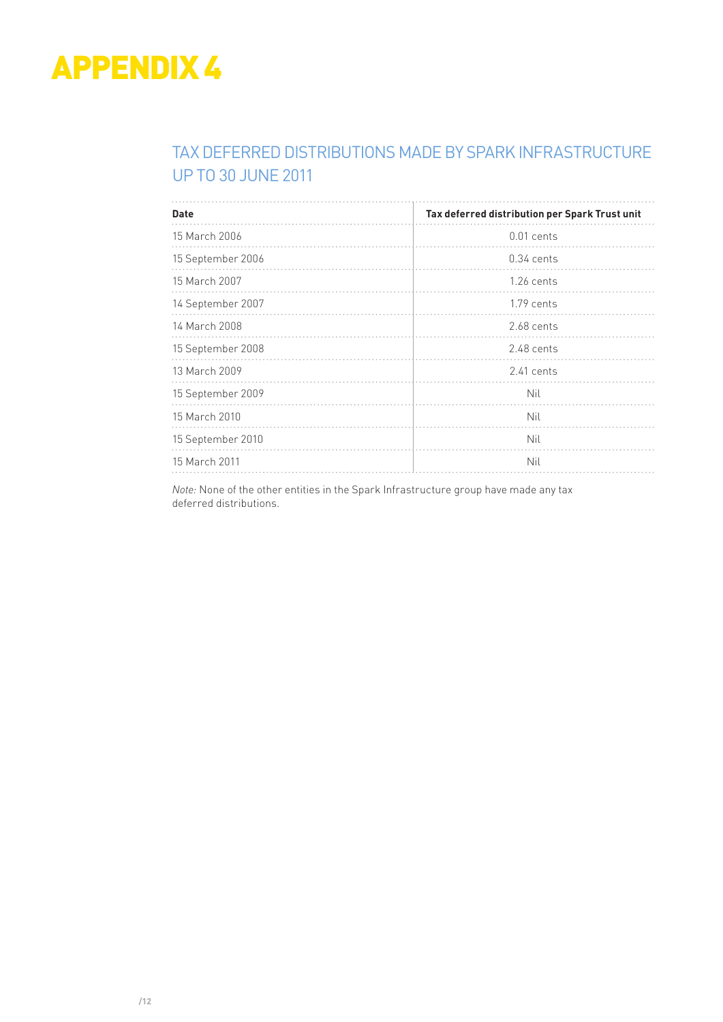### TAX DEFERRED DISTRIBUTIONS MADE BY SPARK INFRASTRUCTURE UP TO 30 JUNE 2011

| <b>Date</b>       | Tax deferred distribution per Spark Trust unit |
|-------------------|------------------------------------------------|
| 15 March 2006     | $0.01$ cents                                   |
| 15 September 2006 | $0.34$ cents                                   |
| 15 March 2007     | $1.26$ cents                                   |
| 14 September 2007 | $1.79$ cents                                   |
| 14 March 2008     | 2.68 cents                                     |
| 15 September 2008 | 2.48 cents                                     |
| 13 March 2009     | $2.41$ cents                                   |
| 15 September 2009 | Nil                                            |
| 15 March 2010     | Nil                                            |
| 15 September 2010 | Nil                                            |
| 15 March 2011     | Nil                                            |

*Note:* None of the other entities in the Spark Infrastructure group have made any tax deferred distributions.